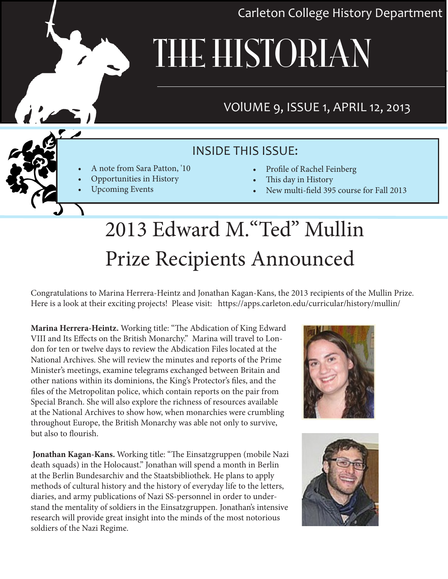Carleton College History Department

# THE HISTORIAN

# VOlUME 9, ISSUE 1, APRIL 12, 2013

# INSIDE THIS ISSUE:

- A note from Sara Patton, '10
- Opportunities in History
	- Upcoming Events
- **Profile of Rachel Feinberg**
- This day in History
- New multi-field 395 course for Fall 2013

# 2013 Edward M."Ted" Mullin Prize Recipients Announced

Congratulations to Marina Herrera-Heintz and Jonathan Kagan-Kans, the 2013 recipients of the Mullin Prize. Here is a look at their exciting projects! Please visit: https://apps.carleton.edu/curricular/history/mullin/

**Marina Herrera-Heintz.** Working title: "The Abdication of King Edward VIII and Its Effects on the British Monarchy." Marina will travel to London for ten or twelve days to review the Abdication Files located at the National Archives. She will review the minutes and reports of the Prime Minister's meetings, examine telegrams exchanged between Britain and other nations within its dominions, the King's Protector's files, and the files of the Metropolitan police, which contain reports on the pair from Special Branch. She will also explore the richness of resources available at the National Archives to show how, when monarchies were crumbling throughout Europe, the British Monarchy was able not only to survive, but also to flourish.

 **Jonathan Kagan-Kans.** Working title: "The Einsatzgruppen (mobile Nazi death squads) in the Holocaust." Jonathan will spend a month in Berlin at the Berlin Bundesarchiv and the Staatsbibliothek. He plans to apply methods of cultural history and the history of everyday life to the letters, diaries, and army publications of Nazi SS-personnel in order to understand the mentality of soldiers in the Einsatzgruppen. Jonathan's intensive research will provide great insight into the minds of the most notorious soldiers of the Nazi Regime.





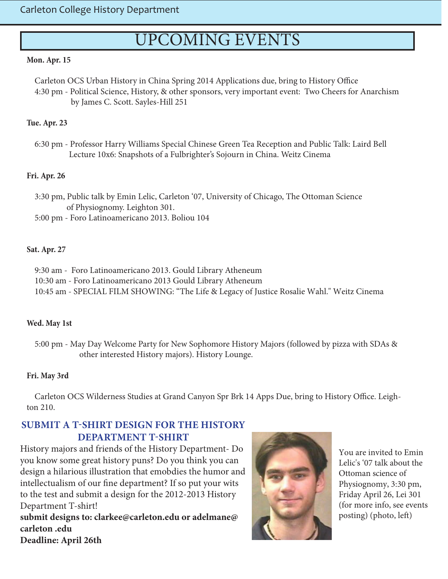# UPCOMING EVENTS

#### **Mon. Apr. 15**

 Carleton OCS Urban History in China Spring 2014 Applications due, bring to History Office 4:30 pm - Political Science, History, & other sponsors, very important event: Two Cheers for Anarchism by James C. Scott. Sayles-Hill 251

#### **Tue. Apr. 23**

 6:30 pm - Professor Harry Williams Special Chinese Green Tea Reception and Public Talk: Laird Bell Lecture 10x6: Snapshots of a Fulbrighter's Sojourn in China. Weitz Cinema

#### **Fri. Apr. 26**

 3:30 pm, Public talk by Emin Lelic, Carleton '07, University of Chicago, The Ottoman Science of Physiognomy. Leighton 301. 5:00 pm - Foro Latinoamericano 2013. Boliou 104

#### **Sat. Apr. 27**

 9:30 am - Foro Latinoamericano 2013. Gould Library Atheneum 10:30 am - Foro Latinoamericano 2013 Gould Library Atheneum 10:45 am - SPECIAL FILM SHOWING: "The Life & Legacy of Justice Rosalie Wahl." Weitz Cinema

#### **Wed. May 1st**

 5:00 pm - May Day Welcome Party for New Sophomore History Majors (followed by pizza with SDAs & other interested History majors). History Lounge.

#### **Fri. May 3rd**

 Carleton OCS Wilderness Studies at Grand Canyon Spr Brk 14 Apps Due, bring to History Office. Leighton 210.

#### **SUBMIT A T-SHIRT DESIGN FOR THE HISTORY DEPARTMENT T-SHIRT**

History majors and friends of the History Department- Do you know some great history puns? Do you think you can design a hilarious illustration that emobdies the humor and intellectualism of our fine department? If so put your wits to the test and submit a design for the 2012-2013 History Department T-shirt!

**submit designs to: clarkee@carleton.edu or adelmane@ carleton .edu Deadline: April 26th**



You are invited to Emin Lelic's '07 talk about the Ottoman science of Physiognomy, 3:30 pm, Friday April 26, Lei 301 (for more info, see events posting) (photo, left)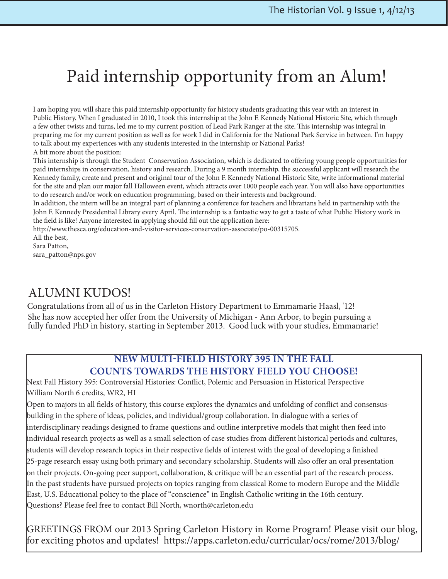# Paid internship opportunity from an Alum!

I am hoping you will share this paid internship opportunity for history students graduating this year with an interest in Public History. When I graduated in 2010, I took this internship at the John F. Kennedy National Historic Site, which through a few other twists and turns, led me to my current position of Lead Park Ranger at the site. This internship was integral in preparing me for my current position as well as for work I did in California for the National Park Service in between. I'm happy to talk about my experiences with any students interested in the internship or National Parks!

A bit more about the position:

This internship is through the Student Conservation Association, which is dedicated to offering young people opportunities for paid internships in conservation, history and research. During a 9 month internship, the successful applicant will research the Kennedy family, create and present and original tour of the John F. Kennedy National Historic Site, write informational material for the site and plan our major fall Halloween event, which attracts over 1000 people each year. You will also have opportunities to do research and/or work on education programming, based on their interests and background.

In addition, the intern will be an integral part of planning a conference for teachers and librarians held in partnership with the John F. Kennedy Presidential Library every April. The internship is a fantastic way to get a taste of what Public History work in the field is like! Anyone interested in applying should fill out the application here:

http://www.thesca.org/education-and-visitor-services-conservation-associate/po-00315705.

All the best, Sara Patton,

sara\_patton@nps.gov

## ALUMNI KUDOS!

 Congratulations from all of us in the Carleton History Department to Emmamarie Haasl, '12! She has now accepted her offer from the University of Michigan - Ann Arbor, to begin pursuing a fully funded PhD in history, starting in September 2013. Good luck with your studies, Emmamarie!

#### **NEW MULTI-FIELD HISTORY 395 IN THE FALL COUNTS TOWARDS THE HISTORY FIELD YOU CHOOSE!**

Next Fall History 395: Controversial Histories: Conflict, Polemic and Persuasion in Historical Perspective William North 6 credits, WR2, HI

Open to majors in all fields of history, this course explores the dynamics and unfolding of conflict and consensusbuilding in the sphere of ideas, policies, and individual/group collaboration. In dialogue with a series of interdisciplinary readings designed to frame questions and outline interpretive models that might then feed into individual research projects as well as a small selection of case studies from different historical periods and cultures, students will develop research topics in their respective fields of interest with the goal of developing a finished 25-page research essay using both primary and secondary scholarship. Students will also offer an oral presentation on their projects. On-going peer support, collaboration, & critique will be an essential part of the research process. In the past students have pursued projects on topics ranging from classical Rome to modern Europe and the Middle East, U.S. Educational policy to the place of "conscience" in English Catholic writing in the 16th century. Questions? Please feel free to contact Bill North, wnorth@carleton.edu

GREETINGS FROM our 2013 Spring Carleton History in Rome Program! Please visit our blog, for exciting photos and updates! https://apps.carleton.edu/curricular/ocs/rome/2013/blog/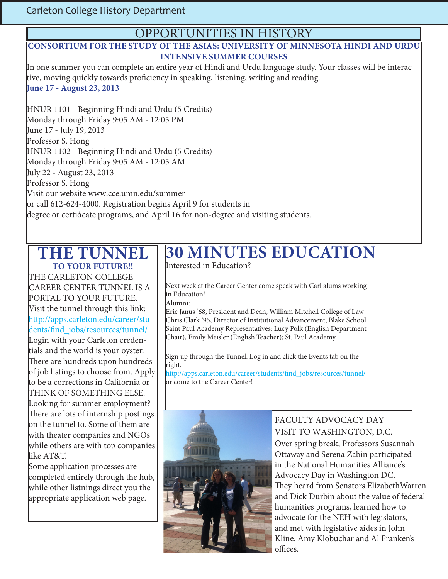#### OPPORTUNITIES IN HISTORY

#### **CONSORTIUM FOR THE STUDY OF THE ASIAS: UNIVERSITY OF MINNESOTA HINDI AND URDU INTENSIVE SUMMER COURSES**

In one summer you can complete an entire year of Hindi and Urdu language study. Your classes will be interactive, moving quickly towards proficiency in speaking, listening, writing and reading. **June 17 - August 23, 2013**

HNUR 1101 - Beginning Hindi and Urdu (5 Credits) Monday through Friday 9:05 AM - 12:05 PM June 17 - July 19, 2013 Professor S. Hong HNUR 1102 - Beginning Hindi and Urdu (5 Credits) Monday through Friday 9:05 AM - 12:05 AM July 22 - August 23, 2013 Professor S. Hong Visit our website www.cce.umn.edu/summer or call 612-624-4000. Registration begins April 9 for students in degree or certiἀcate programs, and April 16 for non-degree and visiting students.

#### **THE TUNNEL TO YOUR FUTURE!!**

THE CARLETON COLLEGE CAREER CENTER TUNNEL IS A PORTAL TO YOUR FUTURE. Visit the tunnel through this link: http://apps.carleton.edu/career/students/find\_jobs/resources/tunnel/ Login with your Carleton credentials and the world is your oyster. There are hundreds upon hundreds of job listings to choose from. Apply to be a corrections in California or THINK OF SOMETHING ELSE. Looking for summer employment? There are lots of internship postings on the tunnel to. Some of them are with theater companies and NGOs while others are with top companies like AT&T.

Some application processes are completed entirely through the hub, while other listnings direct you the appropriate application web page.

# **30 MINUTES EDUCATION**

Interested in Education?

Next week at the Career Center come speak with Carl alums working in Education! Alumni:

Eric Janus '68, President and Dean, William Mitchell College of Law Chris Clark '95, Director of Institutional Advancement, Blake School Saint Paul Academy Representatives: Lucy Polk (English Department Chair), Emily Meisler (English Teacher); St. Paul Academy

Sign up through the Tunnel. Log in and click the Events tab on the right.

http://apps.carleton.edu/career/students/find\_jobs/resources/tunnel/ or come to the Career Center!



#### FACULTY ADVOCACY DAY VISIT TO WASHINGTON, D.C.

Over spring break, Professors Susannah Ottaway and Serena Zabin participated in the National Humanities Alliance's Advocacy Day in Washington DC. They heard from Senators ElizabethWarren and Dick Durbin about the value of federal humanities programs, learned how to advocate for the NEH with legislators, and met with legislative aides in John Kline, Amy Klobuchar and Al Franken's offices.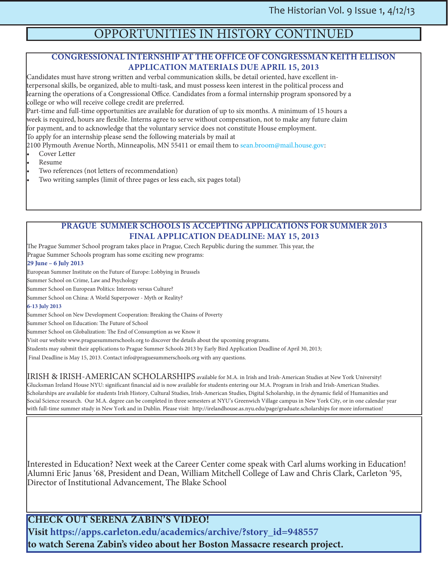## OPPORTUNITIES IN HISTORY CONTINUED

#### **CONGRESSIONAL INTERNSHIP AT THE OFFICE OF CONGRESSMAN KEITH ELLISON APPLICATION MATERIALS DUE APRIL 15, 2013**

Candidates must have strong written and verbal communication skills, be detail oriented, have excellent interpersonal skills, be organized, able to multi-task, and must possess keen interest in the political process and learning the operations of a Congressional Office. Candidates from a formal internship program sponsored by a college or who will receive college credit are preferred.

Part-time and full-time opportunities are available for duration of up to six months. A minimum of 15 hours a week is required, hours are flexible. Interns agree to serve without compensation, not to make any future claim for payment, and to acknowledge that the voluntary service does not constitute House employment. To apply for an internship please send the following materials by mail at

2100 Plymouth Avenue North, Minneapolis, MN 55411 or email them to sean.broom@mail.house.gov:

- Cover Letter
- Resume
- Two references (not letters of recommendation)
- Two writing samples (limit of three pages or less each, six pages total)

#### **PRAGUE SUMMER SCHOOLS IS ACCEPTING APPLICATIONS FOR SUMMER 2013 FINAL APPLICATION DEADLINE: MAY 15, 2013**

The Prague Summer School program takes place in Prague, Czech Republic during the summer. This year, the Prague Summer Schools program has some exciting new programs:

#### **29 June – 6 July 2013**

European Summer Institute on the Future of Europe: Lobbying in Brussels

Summer School on Crime, Law and Psychology

Summer School on European Politics: Interests versus Culture?

Summer School on China: A World Superpower - Myth or Reality?

#### **6-13 July 2013**

Summer School on New Development Cooperation: Breaking the Chains of Poverty

Summer School on Education: The Future of School

Summer School on Globalization: The End of Consumption as we Know it

Visit our website www.praguesummerschools.org to discover the details about the upcoming programs.

Students may submit their applications to Prague Summer Schools 2013 by Early Bird Application Deadline of April 30, 2013;

Final Deadline is May 15, 2013. Contact info@praguesummerschools.org with any questions.

IRISH & IRISH-AMERICAN SCHOLARSHIPS available for M.A. in Irish and Irish-American Studies at New York University! Glucksman Ireland House NYU: significant financial aid is now available for students entering our M.A. Program in Irish and Irish-American Studies. Scholarships are available for students Irish History, Cultural Studies, Irish-American Studies, Digital Scholarship, in the dynamic field of Humanities and Social Science research. Our M.A. degree can be completed in three semesters at NYU's Greenwich Village campus in New York City, or in one calendar year with full-time summer study in New York and in Dublin. Please visit: http://irelandhouse.as.nyu.edu/page/graduate.scholarships for more information!

Interested in Education? Next week at the Career Center come speak with Carl alums working in Education! Alumni Eric Janus '68, President and Dean, William Mitchell College of Law and Chris Clark, Carleton '95, Director of Institutional Advancement, The Blake School

**CHECK OUT SERENA ZABIN'S VIDEO! Visit https://apps.carleton.edu/academics/archive/?story\_id=948557 to watch Serena Zabin's video about her Boston Massacre research project.**